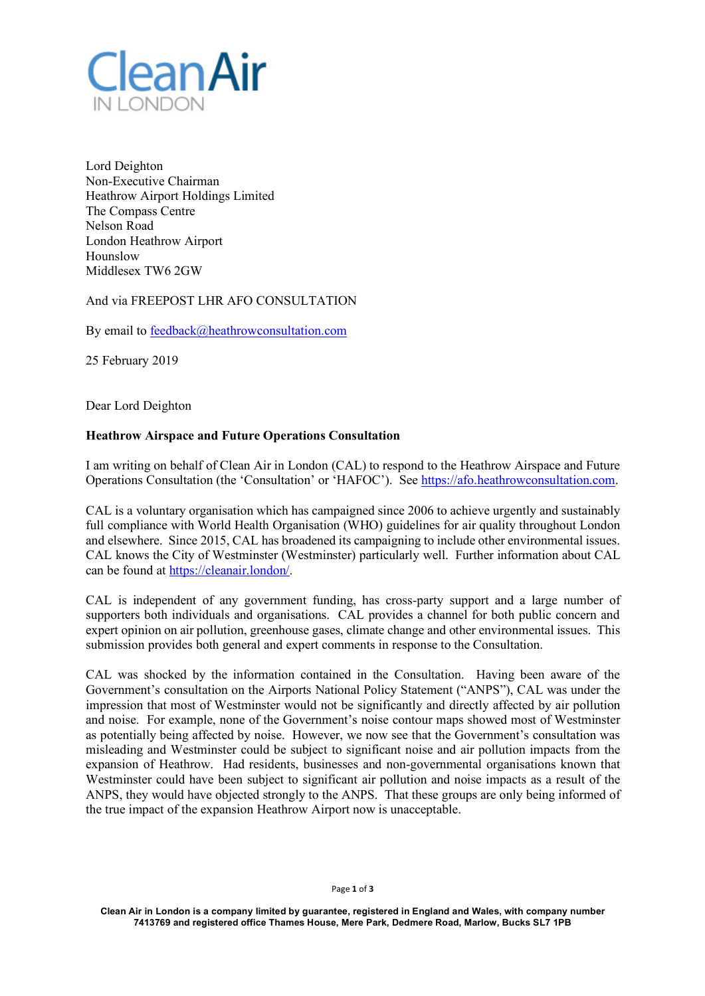

Lord Deighton Non-Executive Chairman Heathrow Airport Holdings Limited The Compass Centre Nelson Road London Heathrow Airport Hounslow Middlesex TW6 2GW

And via FREEPOST LHR AFO CONSULTATION

By email to feedback@heathrowconsultation.com

25 February 2019

Dear Lord Deighton

## **Heathrow Airspace and Future Operations Consultation**

I am writing on behalf of Clean Air in London (CAL) to respond to the Heathrow Airspace and Future Operations Consultation (the 'Consultation' or 'HAFOC'). See https://afo.heathrowconsultation.com.

CAL is a voluntary organisation which has campaigned since 2006 to achieve urgently and sustainably full compliance with World Health Organisation (WHO) guidelines for air quality throughout London and elsewhere. Since 2015, CAL has broadened its campaigning to include other environmental issues. CAL knows the City of Westminster (Westminster) particularly well. Further information about CAL can be found at https://cleanair.london/.

CAL is independent of any government funding, has cross-party support and a large number of supporters both individuals and organisations. CAL provides a channel for both public concern and expert opinion on air pollution, greenhouse gases, climate change and other environmental issues. This submission provides both general and expert comments in response to the Consultation.

CAL was shocked by the information contained in the Consultation. Having been aware of the Government's consultation on the Airports National Policy Statement ("ANPS"), CAL was under the impression that most of Westminster would not be significantly and directly affected by air pollution and noise. For example, none of the Government's noise contour maps showed most of Westminster as potentially being affected by noise. However, we now see that the Government's consultation was misleading and Westminster could be subject to significant noise and air pollution impacts from the expansion of Heathrow. Had residents, businesses and non-governmental organisations known that Westminster could have been subject to significant air pollution and noise impacts as a result of the ANPS, they would have objected strongly to the ANPS. That these groups are only being informed of the true impact of the expansion Heathrow Airport now is unacceptable.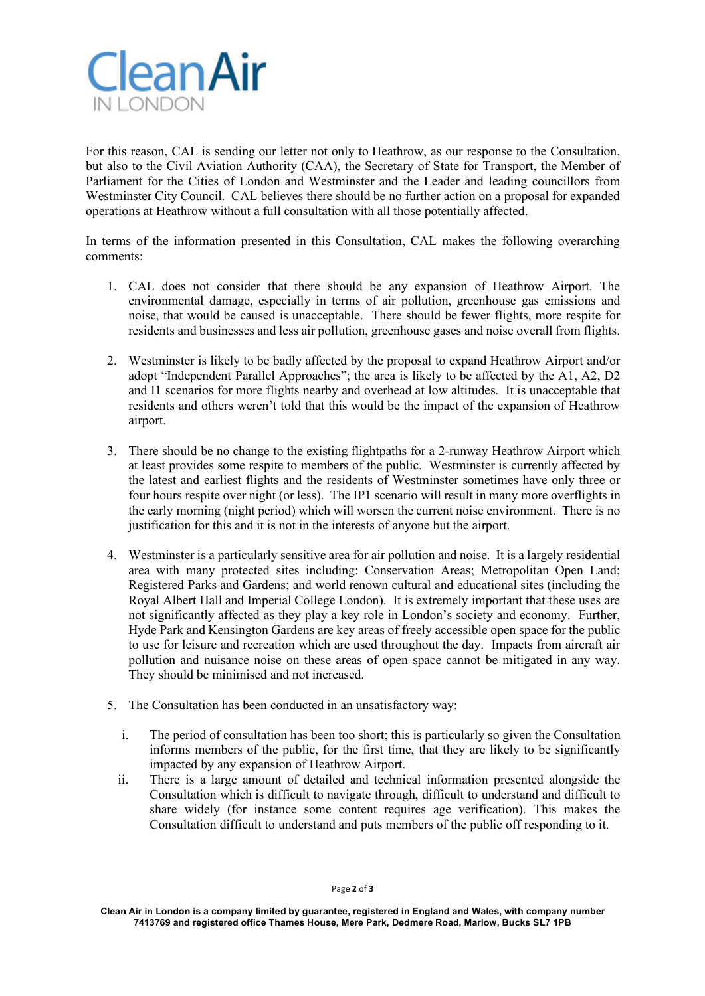

For this reason, CAL is sending our letter not only to Heathrow, as our response to the Consultation, but also to the Civil Aviation Authority (CAA), the Secretary of State for Transport, the Member of Parliament for the Cities of London and Westminster and the Leader and leading councillors from Westminster City Council. CAL believes there should be no further action on a proposal for expanded operations at Heathrow without a full consultation with all those potentially affected.

In terms of the information presented in this Consultation, CAL makes the following overarching comments:

- 1. CAL does not consider that there should be any expansion of Heathrow Airport. The environmental damage, especially in terms of air pollution, greenhouse gas emissions and noise, that would be caused is unacceptable. There should be fewer flights, more respite for residents and businesses and less air pollution, greenhouse gases and noise overall from flights.
- 2. Westminster is likely to be badly affected by the proposal to expand Heathrow Airport and/or adopt "Independent Parallel Approaches"; the area is likely to be affected by the A1, A2, D2 and I1 scenarios for more flights nearby and overhead at low altitudes. It is unacceptable that residents and others weren't told that this would be the impact of the expansion of Heathrow airport.
- 3. There should be no change to the existing flightpaths for a 2-runway Heathrow Airport which at least provides some respite to members of the public. Westminster is currently affected by the latest and earliest flights and the residents of Westminster sometimes have only three or four hours respite over night (or less). The IP1 scenario will result in many more overflights in the early morning (night period) which will worsen the current noise environment. There is no justification for this and it is not in the interests of anyone but the airport.
- 4. Westminster is a particularly sensitive area for air pollution and noise. It is a largely residential area with many protected sites including: Conservation Areas; Metropolitan Open Land; Registered Parks and Gardens; and world renown cultural and educational sites (including the Royal Albert Hall and Imperial College London). It is extremely important that these uses are not significantly affected as they play a key role in London's society and economy. Further, Hyde Park and Kensington Gardens are key areas of freely accessible open space for the public to use for leisure and recreation which are used throughout the day. Impacts from aircraft air pollution and nuisance noise on these areas of open space cannot be mitigated in any way. They should be minimised and not increased.
- 5. The Consultation has been conducted in an unsatisfactory way:
	- i. The period of consultation has been too short; this is particularly so given the Consultation informs members of the public, for the first time, that they are likely to be significantly impacted by any expansion of Heathrow Airport.
	- ii. There is a large amount of detailed and technical information presented alongside the Consultation which is difficult to navigate through, difficult to understand and difficult to share widely (for instance some content requires age verification). This makes the Consultation difficult to understand and puts members of the public off responding to it.

**Clean Air in London is a company limited by guarantee, registered in England and Wales, with company number 7413769 and registered office Thames House, Mere Park, Dedmere Road, Marlow, Bucks SL7 1PB**